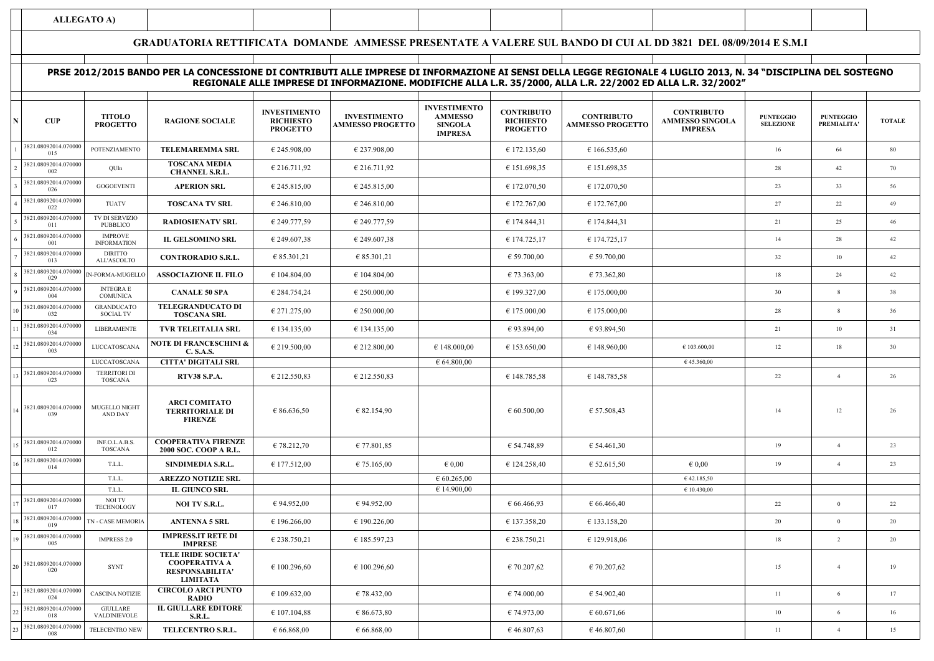**ALLEGATO A)**

## **GRADUATORIA RETTIFICATA DOMANDE AMMESSE PRESENTATE A VALERE SUL BANDO DI CUI AL DD 3821 DEL 08/09/2014 E S.M.I**

## **<sup>N</sup> CUP RAGIONE SOCIALE TOTALE** <sup>1</sup> POTENZIAMENTO **TELEMAREMMA SRL** $\textbf{L}$   $\textbf{E}$   $\textbf{E}$  245.908,00  $\textbf{E}$  237.908,00  $\textbf{E}$  237.908,00  $\textbf{E}$  172.135,60  $\textbf{E}$  16  $\textbf{E}$  16  $\textbf{E}$  64  $\textbf{E}$ 2  $2 \begin{bmatrix} 2 & 3621.08022014.076000 & 28 & 42 \ 0.02 & 6201 & 1.076000 & 28 \ 0.02 & 0.02 & 0.02 & 0.0000 & 28 \ \end{bmatrix}$   $28$   $42$   $42$   $70$ <sup>3</sup> GOGOEVENTI **APERION SRLE**  $\left\{\n \begin{array}{ccc}\n \end{array}\n \right\}\n \left\{\n \begin{array}{ccc}\n \end{array}\n \begin{array}{ccc}\n \end{array}\n \right\}\n \left\{\n \begin{array}{ccc}\n \end{array}\n \begin{array}{ccc}\n \end{array}\n \right\}\n \left\{\n \begin{array}{ccc}\n \end{array}\n \begin{array}{ccc}\n \end{array}\n \right\}\n \left\{\n \begin{array}{ccc}\n \end{array}\n \right\}\n \left\{\n \begin{array}{ccc}\n \end{array}\n \right\}\n \left\{\n \begin{array}{ccc}\n \end{array}\n \right\}\n \left\{\n$ TUATV **TOSCANA TV SRL**  $\mathbf{L}$   $\left\{ \begin{array}{ccc} \text{\large $\epsilon$}\ 246.810,00 & \text{\large $\epsilon$}}\ 246.810,00 & \text{\large $\epsilon$}}\ 100,00 & \text{\large $\epsilon$}\ \end{array} \right.$ 5 **RADIOSIENATV SRL** $\mathbf{L}$   $\mathbf{\epsilon}$  249.777,59  $\mathbf{\epsilon}$  249.777,59  $\mathbf{\epsilon}$  174.844,31  $\mathbf{\epsilon}$  174.844,31  $\mathbf{\epsilon}$  174.844,31  $\mathbf{\epsilon}$ 6 **IL GELSOMINO SRL** $\mathbf{L}$   $\mathbf{E}$   $\mathbf{E}$  249.607,38  $\mathbf{E}$   $\mathbf{E}$   $\mathbf{E}$   $\mathbf{E}$   $\mathbf{E}$   $\mathbf{E}$   $\mathbf{E}$   $\mathbf{E}$   $\mathbf{E}$   $\mathbf{E}$   $\mathbf{E}$   $\mathbf{E}$   $\mathbf{E}$   $\mathbf{E}$   $\mathbf{E}$   $\mathbf{E}$   $\mathbf{E}$   $\mathbf{E}$   $\mathbf{E}$   $\mathbf{E}$   $\math$ 7 $\begin{bmatrix} 7 \end{bmatrix}$ <sup>5621.06022014.070000 **EDIATIO** DIATIO **CONTRORADIO S.R.L.**  $\begin{bmatrix} 6 \ 85.301,21 \end{bmatrix}$  € 85.301,21  $\begin{bmatrix} 6 \ 85.301,21 \end{bmatrix}$  € 59.700,00  $\begin{bmatrix} 6 \ 59.700,00 \end{bmatrix}$   $\begin{bmatrix} 32 \ 82 \end{bmatrix}$   $\begin{bmatrix} 10 \ 42$ <sup>8</sup> IN-FORMA-MUGELLO **ASSOCIAZIONE IL FILO** $\textbf{O}$   $\begin{bmatrix} \textbf{\textsterling} & \textbf{\textsterling} & \textbf{\textsterling} & \textbf{\textsterling} \\ \textbf{\textsterling} & \textbf{\textsterling} & \textbf{\textsterling} & \textbf{\textstrling} \\ \textbf{\textsterling} & \textbf{\textstrling} & \textbf{\textstrling} & \textbf{\textstrling} \\ \textbf{\textstrling} & \textbf{\textstrling} & \textbf{\textstrling} & \textbf{\textstrling} \\ \textbf{\textstrling} & \textbf{\textstrling} & \textbf{\textstrling} & \textbf{\textstrling} \\ \textbf{\textstrling} & \textbf{\textstrling} & \textbf{\textstrling$ 9 **CANALE 50 SPA** $\mathbf{A}$   $\begin{bmatrix} \epsilon \ 284.754,24 \end{bmatrix}$   $\epsilon$  250.000,00  $\begin{bmatrix} \epsilon & 199.327,00 \end{bmatrix}$   $\epsilon$  175.000,00  $\begin{bmatrix} \epsilon & 30 \end{bmatrix}$  38 10 € 271.275,00 € 250.000,00 € 175.000,00 € 175.000,00 <sup>28</sup> <sup>8</sup> <sup>36</sup> <sup>11</sup> LIBERAMENTE **TVR TELEITALIA SRL** $\textbf{L}$   $\left\{ \begin{array}{ccc} \text{${\epsilon}$}\ 134.135,00 & \text{${\epsilon}$}\ 134.135,00 & \text{${\epsilon}$}\ \end{array} \right.$   $\left\{ \begin{array}{ccc} \text{${\epsilon}$}\ 93.894,00 & \text{${\epsilon}$}\ 93.894,50 & \text{${\epsilon}$}\ \end{array} \right.$  $\begin{bmatrix} 12 \end{bmatrix}$   $\begin{bmatrix} 2021.00052014.0708000 \\ 0.03 \end{bmatrix}$   $\begin{bmatrix} 212.800000 \\ 0.03 \end{bmatrix}$   $\begin{bmatrix} 219.500000 \\ 0.03 \end{bmatrix}$   $\begin{bmatrix} 219.50000 \\ 0.03 \end{bmatrix}$   $\begin{bmatrix} 219.5000 \\ 0.03 \end{bmatrix}$   $\begin{bmatrix} 219.5000 \\ 0.03 \end{bmatrix}$   $\begin{b$ LUCCATOSCANA **CITTA' DIGITALI SRL** $\epsilon$  64.800,00  $\epsilon$  45.360,00 13 **RTV38 S.P.A.** € 212.550,83 € 212.550,83 € 148.785,58 € 148.785,58 <sup>22</sup> <sup>4</sup> <sup>26</sup> 14 € 86.636,50 € 82.154,90 € 60.500,00 € 57.508,43 <sup>14</sup> <sup>12</sup> <sup>26</sup> 15 $\begin{bmatrix} 5 \end{bmatrix}$ <sup>5</sup>  $\begin{bmatrix} 2021.969261 + 0.76006 & 19 & 19 \ 0.012 & 0.026140 & 2000 \end{bmatrix}$  **E 78.212,70**  $\begin{bmatrix} 678.212,70 \end{bmatrix}$  **E** 77.801,85  $\begin{bmatrix} 654.748,89 \end{bmatrix}$  **E** 54.461,30  $\begin{bmatrix} 19 \end{bmatrix}$  19  $\begin{bmatrix} 4 \end{bmatrix}$  23 16 <sup>3621.06022014.070000 T.L.L. **SINDIMEDIA S.R.L.** € 177.512,00 € 75.165,00 € 0,00 € 124.258,40 € 52.615,50 € 0,00 <sup>19</sup> <sup>19</sup> <sup>19</sup> <sup>4</sup></sup> T.L.L. **AREZZO NOTIZIE SRL** $\epsilon$  60.265,00  $\epsilon$  42.185,50 T.L.L. **IL GIUNCO SRLE** 14.900,00  $\epsilon$  14.900,00  $\epsilon$  10.430,00 17 $\begin{bmatrix} 7 \end{bmatrix}$   $\begin{bmatrix} 0.211,0.609,2014,0.76000 \\ 0.17 \end{bmatrix}$  **NOI TV S.R.L.**  $\begin{bmatrix} 6 \ 94.952,00 \\ 94.952,00 \end{bmatrix}$   $\begin{bmatrix} 6 \ 94.952,00 \\ 9 \ 1 \end{bmatrix}$   $\begin{bmatrix} 6 \ 66.466,93 \\ 0 \end{bmatrix}$   $\begin{bmatrix} 6 \ 66.466,40 \\ 0 \end{bmatrix}$   $\begin{bmatrix}$ <sup>18</sup> TN - CASE MEMORIA **ANTENNA 5 SRL** € 196.266,00 € 190.226,00 € 137.358,20 € 133.158,20 <sup>20</sup> <sup>0</sup> <sup>20</sup> <sup>19</sup> IMPRESS 2.0 € 238.750,21 € 185.597,23 € 238.750,21 € 129.918,06 <sup>18</sup> <sup>2</sup> <sup>20</sup> <sup>20</sup> SYNT € 100.296,60 € 100.296,60 € 70.207,62 € 70.207,62 <sup>15</sup> <sup>4</sup> <sup>19</sup> <sup>21</sup> CASCINA NOTIZIE € 109.632,00 € 78.432,00 € 74.000,00 € 54.902,40 <sup>11</sup> <sup>6</sup> <sup>17</sup> 22 $\begin{bmatrix} 2 \end{bmatrix}$ <sup>5021.06022014.070000 GOLEANC</sup> **EXECUTION:** EXECUTION: E107.104,88  $\begin{bmatrix} 6 \end{bmatrix}$   $\begin{bmatrix} 6 \end{bmatrix}$   $\begin{bmatrix} 6 \end{bmatrix}$   $\begin{bmatrix} 6 \end{bmatrix}$   $\begin{bmatrix} 6 \end{bmatrix}$   $\begin{bmatrix} 6 \end{bmatrix}$   $\begin{bmatrix} 10 \end{bmatrix}$   $\begin{bmatrix} 6 \end{bmatrix}$  TELECENTRO NEW **W** TELECENTRO S.R.L. € 66.868,00 € 66.868,00 € 66.868,00 € 46.807,63 € 46.807,60 € 46.807,60 € 11 1 **PRSE 2012/2015 BANDO PER LA CONCESSIONE DI CONTRIBUTI ALLE IMPRESE DI INFORMAZIONE AI SENSI DELLA LEGGE REGIONALE 4 LUGLIO 2013, N. 34 "DISCIPLINA DEL SOSTEGNO REGIONALE ALLE IMPRESE DI INFORMAZIONE. MODIFICHE ALLA L.R. 35/2000, ALLA L.R. 22/2002 ED ALLA L.R. 32/2002" TITOLO PROGETTOINVESTIMENTO RICHIESTO PROGETTOINVESTIMENTO AMMESSO PROGETTOINVESTIMENTO AMMESSO SINGOLA IMPRESACONTRIBUTO RICHIESTO PROGETTOCONTRIBUTO AMMESSO PROGETTOCONTRIB AMMESSO SI IMPRE PUNTEGGIO SELEZIONEPUNTEGGIO PREMIALITA'**3821.08092014.0700000153821.08092014.070000002**TOSCANA MEDIA CHANNEL S.R.L.**3821.08092014.0700000263821.08092014.0700000223821.08092014.070000011TV DI SERVIZIO PUBBLICO IMPROVE 3821.08092014.070000001 INFORMATION3821.08092014.070000013**DIRITTO**  ALL'ASCOLTO3821.08092014.0700000293821.08092014.070000004INTEGRA E **COMUNICA** 3821.08092014.070000032GRANDUCATO SOCIAL TV**TELEGRANDUCATO DI TOSCANA SRL**3821.08092014.0700000343821.08092014.070000003**NOTE DI FRANCESCHINI & C. S.A.S.**3821.08092014.070000023TERRITORI DI TOSCANA3821.08092014.070000039MUGELLO NIGHT AND DAY**ARCI COMITATO TERRITORIALE DI FIRENZE**3821.08092014.070000012INF.O.L.A.B.S. TOSCANA**COOPERATIVA FIRENZE 2000 SOC. COOP A R.L.**3821.08092014.0700000143821.08092014.070000017NOI TV **TECHNOLOGY** 3821.08092014.0700000193821.08092014.070000005**IMPRESS.IT RETE DI IMPRESE TELE IRIDE SOCIETA'** 3821.08092014.070000020**COOPERATIVA A RESPONSABILITA' LIMITATA CIRCOLO ARCI PUNTO** 3821.08092014.070000024**RADIO IL GIULLARE EDITORE** 3821.08092014.070000018**GIULLARE**  VALDINIEVOLE**S.R.L.**3821.08092014.070000008

| <b>SUTO</b><br><b>INGOLA</b><br>SA | <b>PUNTEGGIO</b><br><b>SELEZIONE</b> | <b>PUNTEGGIO</b><br>PREMIALITA' | <b>TOTALE</b> |  |  |
|------------------------------------|--------------------------------------|---------------------------------|---------------|--|--|
|                                    | 16                                   | 64                              | $\bf 80$      |  |  |
|                                    | 28                                   | 42                              | $70\,$        |  |  |
|                                    | 23                                   | 33                              | 56            |  |  |
|                                    | $27\,$                               | $22\,$                          | 49            |  |  |
|                                    | 21                                   | 25                              | 46            |  |  |
|                                    | 14                                   | $28\,$                          | 42            |  |  |
|                                    | 32                                   | $10\,$                          | 42            |  |  |
|                                    | 18                                   | 24                              | 42            |  |  |
|                                    | $30\,$                               | $\,$ $\,$                       | 38            |  |  |
|                                    | 28                                   | $\,$ 8 $\,$                     | 36            |  |  |
|                                    | 21                                   | $10\,$                          | 31            |  |  |
| ,00                                | 12                                   | $18\,$                          | $30\,$        |  |  |
| 00                                 |                                      |                                 |               |  |  |
|                                    | 22                                   | $\overline{4}$                  | $26\,$        |  |  |
|                                    | 14                                   | 12                              | 26            |  |  |
|                                    | 19                                   | $\overline{4}$                  | $23\,$        |  |  |
| )                                  | $19\,$                               | $\sqrt{4}$                      | $23\,$        |  |  |
| 50                                 |                                      |                                 |               |  |  |
| 00                                 |                                      |                                 |               |  |  |
|                                    | $22\,$                               | $\boldsymbol{0}$                | $22\,$        |  |  |
|                                    | $20\,$                               | $\boldsymbol{0}$                | $20\,$        |  |  |
|                                    | $1\,8$                               | $\sqrt{2}$                      | $20\,$        |  |  |
|                                    | 15                                   | $\overline{\mathcal{L}}$        | 19            |  |  |
|                                    | $11\,$                               | $\sqrt{6}$                      | $17\,$        |  |  |
|                                    | $10\,$                               | $\sqrt{6}$                      | 16            |  |  |
|                                    | 11                                   | $\overline{4}$                  | $15\,$        |  |  |